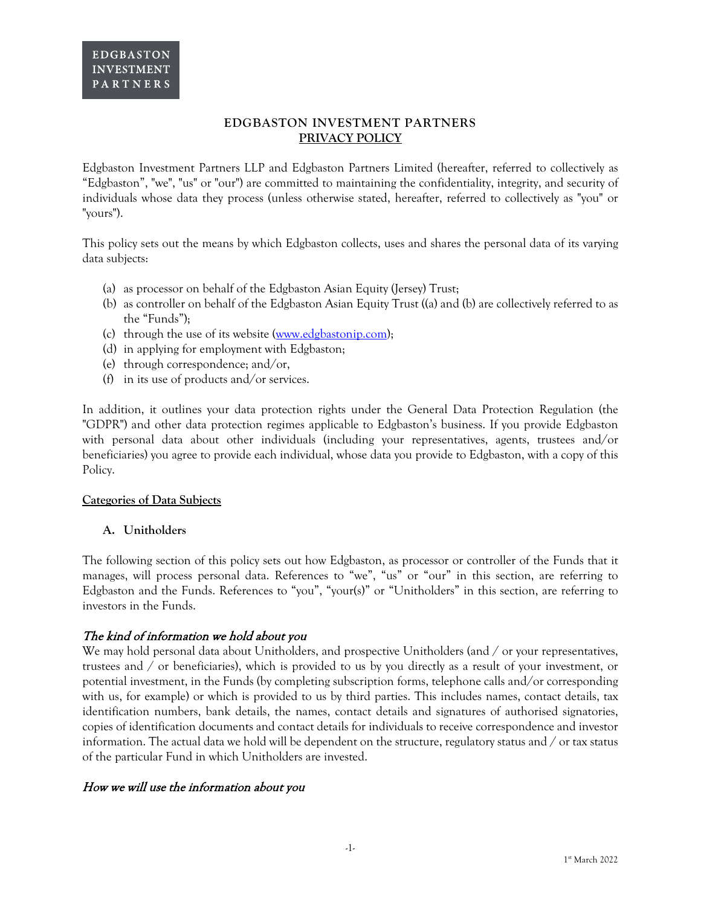## **EDGBASTON INVESTMENT PARTNERS PRIVACY POLICY**

Edgbaston Investment Partners LLP and Edgbaston Partners Limited (hereafter, referred to collectively as "Edgbaston", "we", "us" or "our") are committed to maintaining the confidentiality, integrity, and security of individuals whose data they process (unless otherwise stated, hereafter, referred to collectively as "you" or "yours").

This policy sets out the means by which Edgbaston collects, uses and shares the personal data of its varying data subjects:

- (a) as processor on behalf of the Edgbaston Asian Equity (Jersey) Trust;
- (b) as controller on behalf of the Edgbaston Asian Equity Trust ((a) and (b) are collectively referred to as the "Funds");
- (c) through the use of its website [\(www.edgbastonip.com\)](http://www.edgbastonip.com/);
- (d) in applying for employment with Edgbaston;
- (e) through correspondence; and/or,
- (f) in its use of products and/or services.

In addition, it outlines your data protection rights under the General Data Protection Regulation (the "GDPR") and other data protection regimes applicable to Edgbaston's business. If you provide Edgbaston with personal data about other individuals (including your representatives, agents, trustees and/or beneficiaries) you agree to provide each individual, whose data you provide to Edgbaston, with a copy of this Policy.

#### **Categories of Data Subjects**

#### **A. Unitholders**

The following section of this policy sets out how Edgbaston, as processor or controller of the Funds that it manages, will process personal data. References to "we", "us" or "our" in this section, are referring to Edgbaston and the Funds. References to "you", "your(s)" or "Unitholders" in this section, are referring to investors in the Funds.

## The kind of information we hold about you

We may hold personal data about Unitholders, and prospective Unitholders (and / or your representatives, trustees and / or beneficiaries), which is provided to us by you directly as a result of your investment, or potential investment, in the Funds (by completing subscription forms, telephone calls and/or corresponding with us, for example) or which is provided to us by third parties. This includes names, contact details, tax identification numbers, bank details, the names, contact details and signatures of authorised signatories, copies of identification documents and contact details for individuals to receive correspondence and investor information. The actual data we hold will be dependent on the structure, regulatory status and / or tax status of the particular Fund in which Unitholders are invested.

#### How we will use the information about you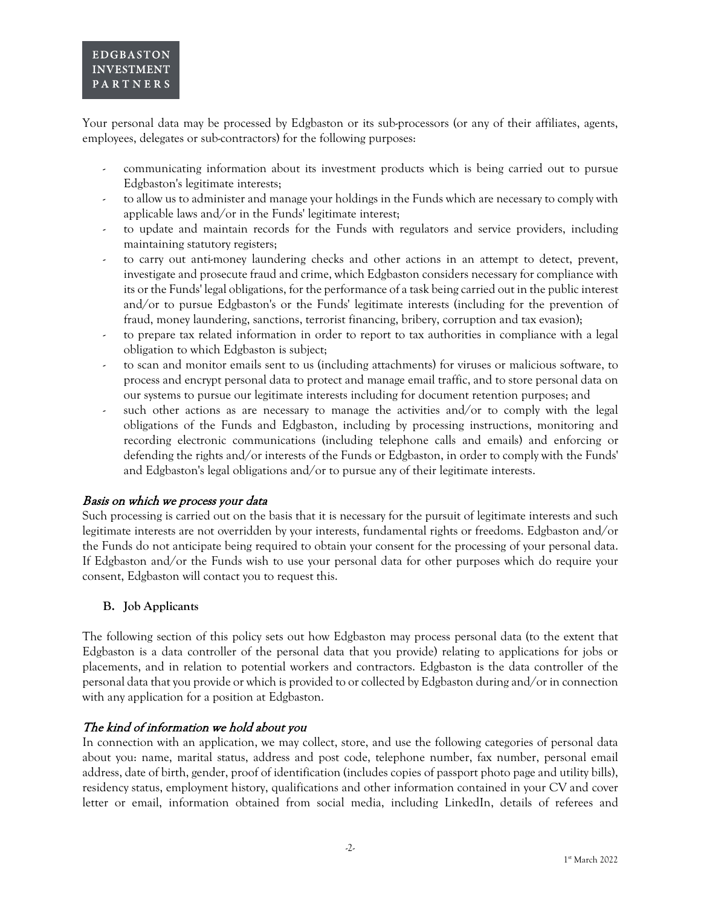Your personal data may be processed by Edgbaston or its sub-processors (or any of their affiliates, agents, employees, delegates or sub-contractors) for the following purposes:

- communicating information about its investment products which is being carried out to pursue Edgbaston's legitimate interests;
- to allow us to administer and manage your holdings in the Funds which are necessary to comply with applicable laws and/or in the Funds' legitimate interest;
- to update and maintain records for the Funds with regulators and service providers, including maintaining statutory registers;
- to carry out anti-money laundering checks and other actions in an attempt to detect, prevent, investigate and prosecute fraud and crime, which Edgbaston considers necessary for compliance with its or the Funds' legal obligations, for the performance of a task being carried out in the public interest and/or to pursue Edgbaston's or the Funds' legitimate interests (including for the prevention of fraud, money laundering, sanctions, terrorist financing, bribery, corruption and tax evasion);
- to prepare tax related information in order to report to tax authorities in compliance with a legal obligation to which Edgbaston is subject;
- to scan and monitor emails sent to us (including attachments) for viruses or malicious software, to process and encrypt personal data to protect and manage email traffic, and to store personal data on our systems to pursue our legitimate interests including for document retention purposes; and
- such other actions as are necessary to manage the activities and/or to comply with the legal obligations of the Funds and Edgbaston, including by processing instructions, monitoring and recording electronic communications (including telephone calls and emails) and enforcing or defending the rights and/or interests of the Funds or Edgbaston, in order to comply with the Funds' and Edgbaston's legal obligations and/or to pursue any of their legitimate interests.

## Basis on which we process your data

Such processing is carried out on the basis that it is necessary for the pursuit of legitimate interests and such legitimate interests are not overridden by your interests, fundamental rights or freedoms. Edgbaston and/or the Funds do not anticipate being required to obtain your consent for the processing of your personal data. If Edgbaston and/or the Funds wish to use your personal data for other purposes which do require your consent, Edgbaston will contact you to request this.

## **B. Job Applicants**

The following section of this policy sets out how Edgbaston may process personal data (to the extent that Edgbaston is a data controller of the personal data that you provide) relating to applications for jobs or placements, and in relation to potential workers and contractors. Edgbaston is the data controller of the personal data that you provide or which is provided to or collected by Edgbaston during and/or in connection with any application for a position at Edgbaston.

## The kind of information we hold about you

In connection with an application, we may collect, store, and use the following categories of personal data about you: name, marital status, address and post code, telephone number, fax number, personal email address, date of birth, gender, proof of identification (includes copies of passport photo page and utility bills), residency status, employment history, qualifications and other information contained in your CV and cover letter or email, information obtained from social media, including LinkedIn, details of referees and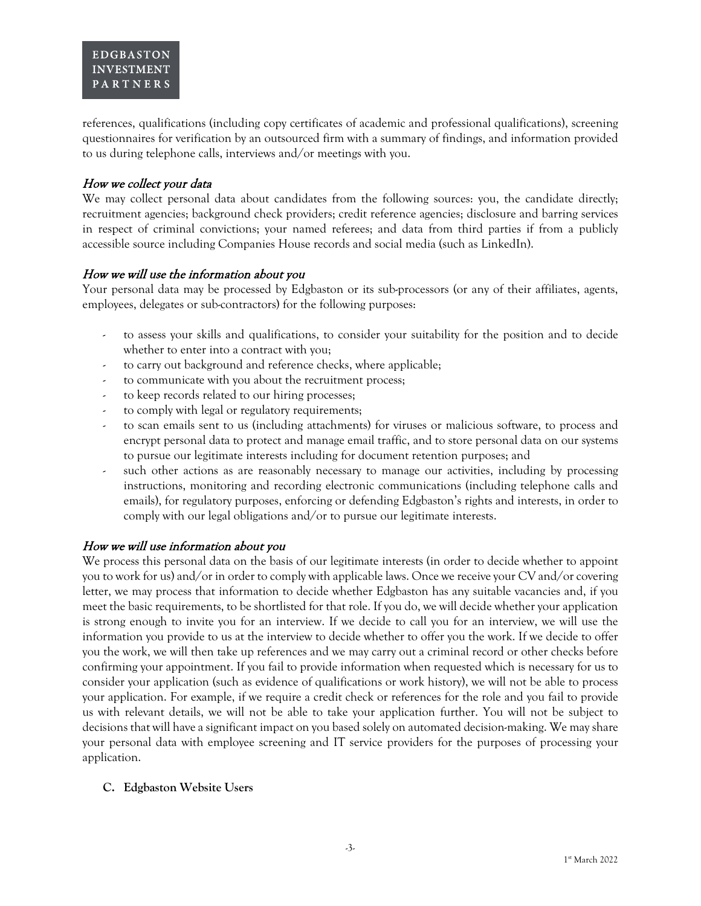references, qualifications (including copy certificates of academic and professional qualifications), screening questionnaires for verification by an outsourced firm with a summary of findings, and information provided to us during telephone calls, interviews and/or meetings with you.

### How we collect your data

We may collect personal data about candidates from the following sources: you, the candidate directly; recruitment agencies; background check providers; credit reference agencies; disclosure and barring services in respect of criminal convictions; your named referees; and data from third parties if from a publicly accessible source including Companies House records and social media (such as LinkedIn).

### How we will use the information about you

Your personal data may be processed by Edgbaston or its sub-processors (or any of their affiliates, agents, employees, delegates or sub-contractors) for the following purposes:

- to assess your skills and qualifications, to consider your suitability for the position and to decide whether to enter into a contract with you;
- to carry out background and reference checks, where applicable;
- to communicate with you about the recruitment process;
- to keep records related to our hiring processes;
- to comply with legal or regulatory requirements;
- to scan emails sent to us (including attachments) for viruses or malicious software, to process and encrypt personal data to protect and manage email traffic, and to store personal data on our systems to pursue our legitimate interests including for document retention purposes; and
- such other actions as are reasonably necessary to manage our activities, including by processing instructions, monitoring and recording electronic communications (including telephone calls and emails), for regulatory purposes, enforcing or defending Edgbaston's rights and interests, in order to comply with our legal obligations and/or to pursue our legitimate interests.

## How we will use information about you

We process this personal data on the basis of our legitimate interests (in order to decide whether to appoint you to work for us) and/or in order to comply with applicable laws. Once we receive your CV and/or covering letter, we may process that information to decide whether Edgbaston has any suitable vacancies and, if you meet the basic requirements, to be shortlisted for that role. If you do, we will decide whether your application is strong enough to invite you for an interview. If we decide to call you for an interview, we will use the information you provide to us at the interview to decide whether to offer you the work. If we decide to offer you the work, we will then take up references and we may carry out a criminal record or other checks before confirming your appointment. If you fail to provide information when requested which is necessary for us to consider your application (such as evidence of qualifications or work history), we will not be able to process your application. For example, if we require a credit check or references for the role and you fail to provide us with relevant details, we will not be able to take your application further. You will not be subject to decisions that will have a significant impact on you based solely on automated decision-making. We may share your personal data with employee screening and IT service providers for the purposes of processing your application.

#### **C. Edgbaston Website Users**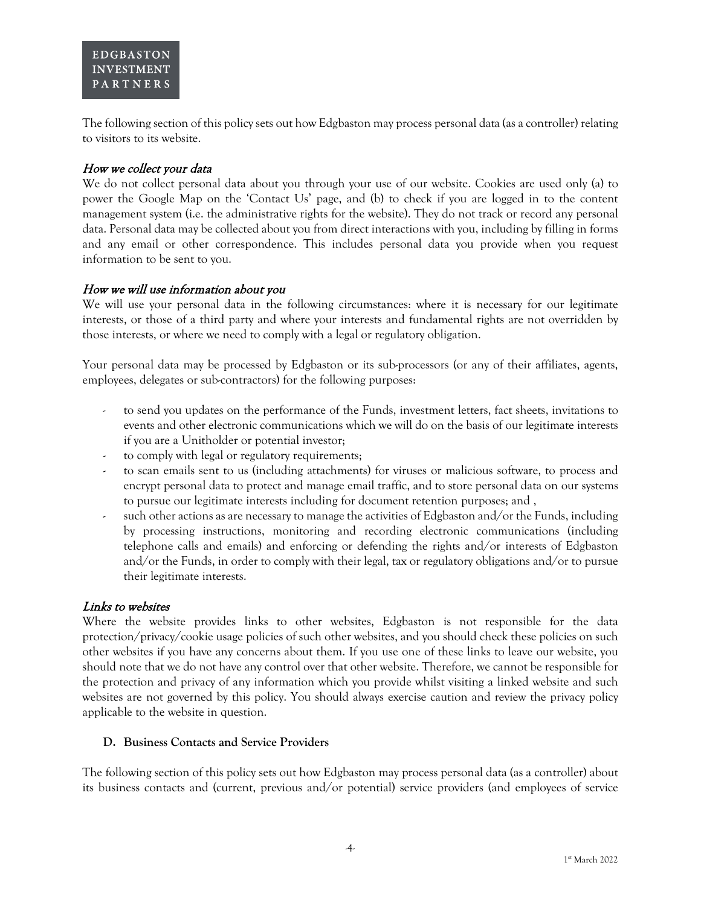The following section of this policy sets out how Edgbaston may process personal data (as a controller) relating to visitors to its website.

### How we collect your data

We do not collect personal data about you through your use of our website. Cookies are used only (a) to power the Google Map on the 'Contact Us' page, and (b) to check if you are logged in to the content management system (i.e. the administrative rights for the website). They do not track or record any personal data. Personal data may be collected about you from direct interactions with you, including by filling in forms and any email or other correspondence. This includes personal data you provide when you request information to be sent to you.

#### How we will use information about you

We will use your personal data in the following circumstances: where it is necessary for our legitimate interests, or those of a third party and where your interests and fundamental rights are not overridden by those interests, or where we need to comply with a legal or regulatory obligation.

Your personal data may be processed by Edgbaston or its sub-processors (or any of their affiliates, agents, employees, delegates or sub-contractors) for the following purposes:

- to send you updates on the performance of the Funds, investment letters, fact sheets, invitations to events and other electronic communications which we will do on the basis of our legitimate interests if you are a Unitholder or potential investor;
- to comply with legal or regulatory requirements;
- to scan emails sent to us (including attachments) for viruses or malicious software, to process and encrypt personal data to protect and manage email traffic, and to store personal data on our systems to pursue our legitimate interests including for document retention purposes; and ,
- such other actions as are necessary to manage the activities of Edgbaston and/or the Funds, including by processing instructions, monitoring and recording electronic communications (including telephone calls and emails) and enforcing or defending the rights and/or interests of Edgbaston and/or the Funds, in order to comply with their legal, tax or regulatory obligations and/or to pursue their legitimate interests.

#### Links to websites

Where the website provides links to other websites, Edgbaston is not responsible for the data protection/privacy/cookie usage policies of such other websites, and you should check these policies on such other websites if you have any concerns about them. If you use one of these links to leave our website, you should note that we do not have any control over that other website. Therefore, we cannot be responsible for the protection and privacy of any information which you provide whilst visiting a linked website and such websites are not governed by this policy. You should always exercise caution and review the privacy policy applicable to the website in question.

#### **D. Business Contacts and Service Providers**

The following section of this policy sets out how Edgbaston may process personal data (as a controller) about its business contacts and (current, previous and/or potential) service providers (and employees of service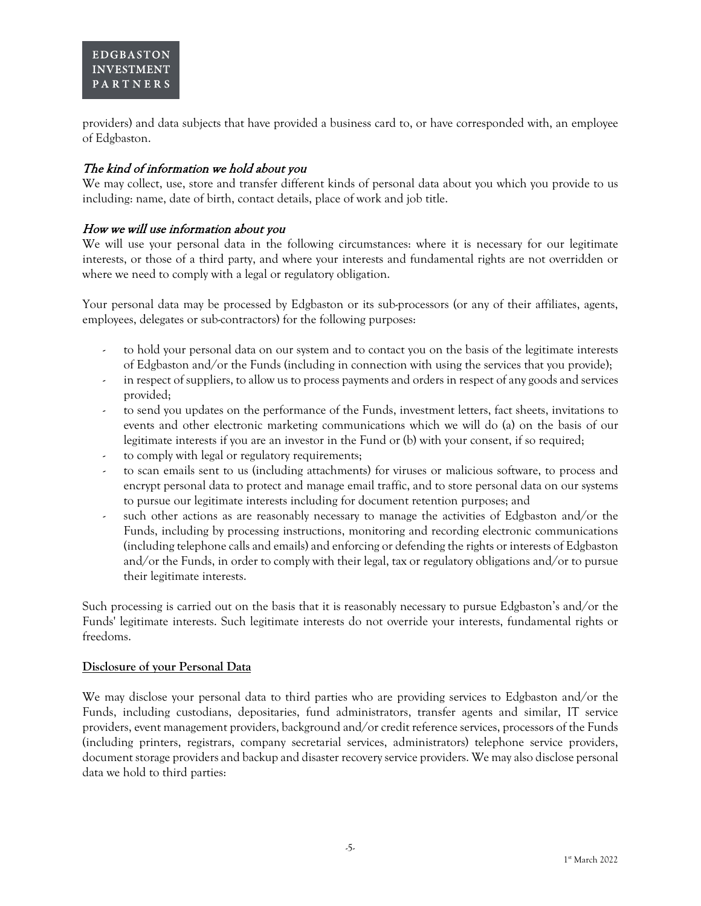providers) and data subjects that have provided a business card to, or have corresponded with, an employee of Edgbaston.

# The kind of information we hold about you

We may collect, use, store and transfer different kinds of personal data about you which you provide to us including: name, date of birth, contact details, place of work and job title.

### How we will use information about you

We will use your personal data in the following circumstances: where it is necessary for our legitimate interests, or those of a third party, and where your interests and fundamental rights are not overridden or where we need to comply with a legal or regulatory obligation.

Your personal data may be processed by Edgbaston or its sub-processors (or any of their affiliates, agents, employees, delegates or sub-contractors) for the following purposes:

- to hold your personal data on our system and to contact you on the basis of the legitimate interests of Edgbaston and/or the Funds (including in connection with using the services that you provide);
- in respect of suppliers, to allow us to process payments and orders in respect of any goods and services provided;
- to send you updates on the performance of the Funds, investment letters, fact sheets, invitations to events and other electronic marketing communications which we will do (a) on the basis of our legitimate interests if you are an investor in the Fund or (b) with your consent, if so required;
- to comply with legal or regulatory requirements;
- to scan emails sent to us (including attachments) for viruses or malicious software, to process and encrypt personal data to protect and manage email traffic, and to store personal data on our systems to pursue our legitimate interests including for document retention purposes; and
- such other actions as are reasonably necessary to manage the activities of Edgbaston and/or the Funds, including by processing instructions, monitoring and recording electronic communications (including telephone calls and emails) and enforcing or defending the rights or interests of Edgbaston and/or the Funds, in order to comply with their legal, tax or regulatory obligations and/or to pursue their legitimate interests.

Such processing is carried out on the basis that it is reasonably necessary to pursue Edgbaston's and/or the Funds' legitimate interests. Such legitimate interests do not override your interests, fundamental rights or freedoms.

#### **Disclosure of your Personal Data**

We may disclose your personal data to third parties who are providing services to Edgbaston and/or the Funds, including custodians, depositaries, fund administrators, transfer agents and similar, IT service providers, event management providers, background and/or credit reference services, processors of the Funds (including printers, registrars, company secretarial services, administrators) telephone service providers, document storage providers and backup and disaster recovery service providers. We may also disclose personal data we hold to third parties: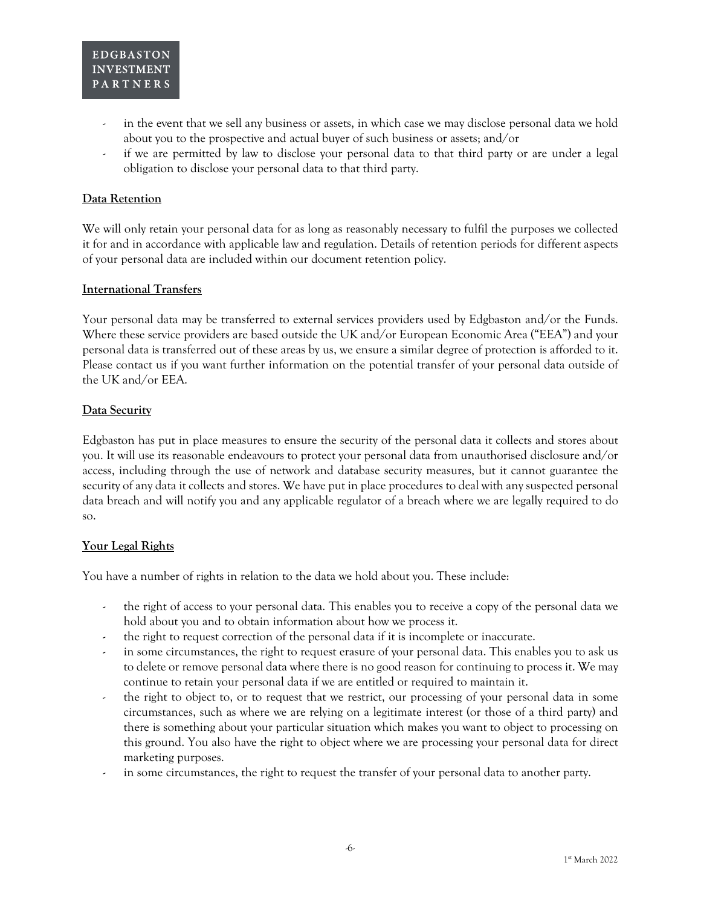- in the event that we sell any business or assets, in which case we may disclose personal data we hold about you to the prospective and actual buyer of such business or assets; and/or
- if we are permitted by law to disclose your personal data to that third party or are under a legal obligation to disclose your personal data to that third party.

#### **Data Retention**

We will only retain your personal data for as long as reasonably necessary to fulfil the purposes we collected it for and in accordance with applicable law and regulation. Details of retention periods for different aspects of your personal data are included within our document retention policy.

#### **International Transfers**

Your personal data may be transferred to external services providers used by Edgbaston and/or the Funds. Where these service providers are based outside the UK and/or European Economic Area ("EEA") and your personal data is transferred out of these areas by us, we ensure a similar degree of protection is afforded to it. Please contact us if you want further information on the potential transfer of your personal data outside of the UK and/or EEA.

#### **Data Security**

Edgbaston has put in place measures to ensure the security of the personal data it collects and stores about you. It will use its reasonable endeavours to protect your personal data from unauthorised disclosure and/or access, including through the use of network and database security measures, but it cannot guarantee the security of any data it collects and stores. We have put in place procedures to deal with any suspected personal data breach and will notify you and any applicable regulator of a breach where we are legally required to do so.

#### **Your Legal Rights**

You have a number of rights in relation to the data we hold about you. These include:

- the right of access to your personal data. This enables you to receive a copy of the personal data we hold about you and to obtain information about how we process it.
- the right to request correction of the personal data if it is incomplete or inaccurate.
- in some circumstances, the right to request erasure of your personal data. This enables you to ask us to delete or remove personal data where there is no good reason for continuing to process it. We may continue to retain your personal data if we are entitled or required to maintain it.
- the right to object to, or to request that we restrict, our processing of your personal data in some circumstances, such as where we are relying on a legitimate interest (or those of a third party) and there is something about your particular situation which makes you want to object to processing on this ground. You also have the right to object where we are processing your personal data for direct marketing purposes.
- in some circumstances, the right to request the transfer of your personal data to another party.